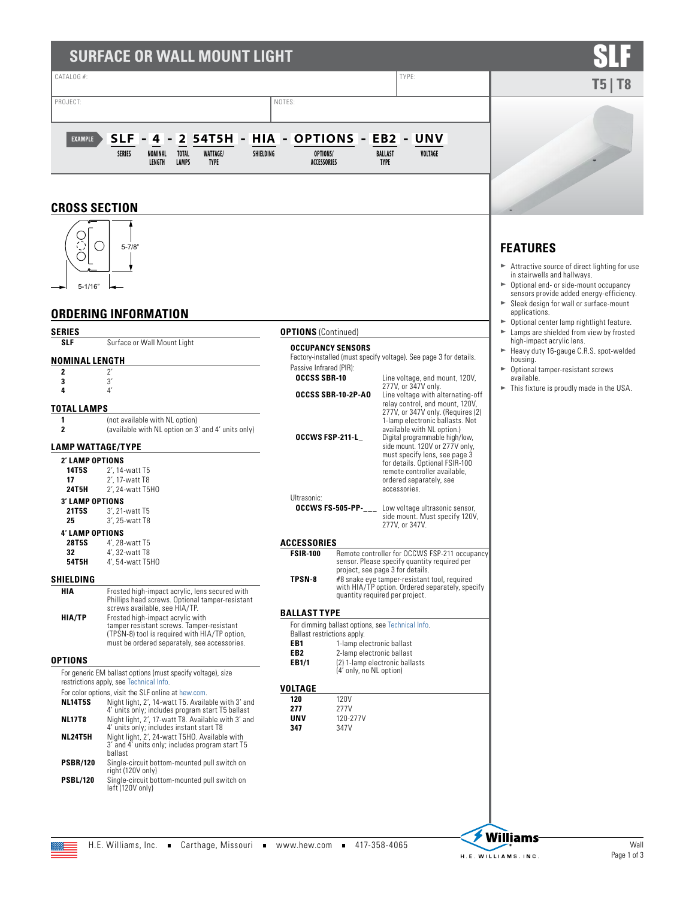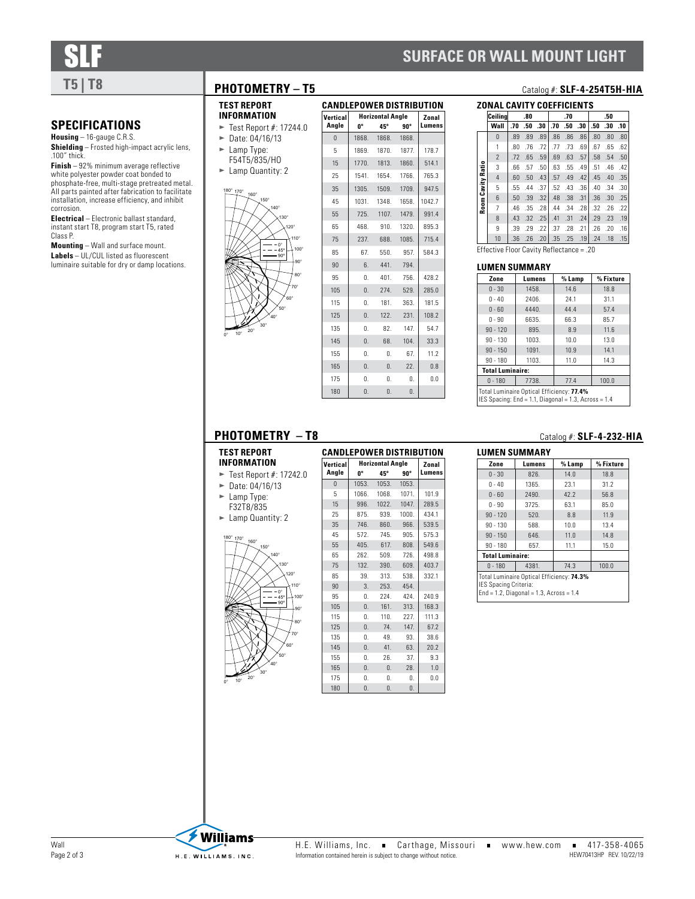# **SURFACE OR WALL MOUNT LIGHT**



.100" thick.

corrosion.

Class P.

**SPECIFICATIONS Housing** – 16-gauge C.R.S.

**Shielding** – Frosted high-impact acrylic lens,

**Finish** – 92% minimum average reflective white polyester powder coat bonded to phosphate-free, multi-stage pretreated metal. All parts painted after fabrication to facilitate installation, increase efficiency, and inhibit

**Electrical** – Electronic ballast standard, instant start T8, program start T5, rated

**Mounting** – Wall and surface mount. **Labels** – UL/CUL listed as fluorescent luminaire suitable for dry or damp locations.

### **PHOTOMETRY – T5** Catalog #: **SLF-4-254T5H-HIA**

- **TEST REPORT INFORMATION**
- $\blacktriangleright$  Test Report #: 17244.0
	- $\blacktriangleright$  Date: 04/16/13  $\blacktriangleright$  Lamp Type: F54T5/835/HO
	- $\blacktriangleright$  Lamp Quantity: 2



| <b>CANDLEPOWER DISTRIBUTION</b> |                  |                         |            |        |  |  |  |
|---------------------------------|------------------|-------------------------|------------|--------|--|--|--|
| Vertical                        |                  | <b>Horizontal Angle</b> |            | Zonal  |  |  |  |
| Angle                           | U <sub>o</sub>   | 45°                     | $90^\circ$ | Lumens |  |  |  |
| $\overline{0}$                  | 1868.            | 1868.                   | 1868.      |        |  |  |  |
| 5                               | 1869.            | 1870.                   | 1877.      | 178.7  |  |  |  |
| 15                              | 1770.            | 1813.                   | 1860.      | 514.1  |  |  |  |
| 25                              | 1541.            | 1654                    | 1766.      | 765.3  |  |  |  |
| 35                              | 1305.            | 1509.                   | 1709.      | 947.5  |  |  |  |
| 45                              | 1031.            | 1348.                   | 1658.      | 1042.7 |  |  |  |
| 55                              | 725.             | 1107.                   | 1479.      | 991.4  |  |  |  |
| 65                              | 468.             | 910.                    | 1320.      | 895.3  |  |  |  |
| 75                              | 237.             | 688.                    | 1085.      | 715.4  |  |  |  |
| 85                              | 67.              | 550.                    | 957        | 584.3  |  |  |  |
| 90                              | 6.               | 441.                    | 794        |        |  |  |  |
| 95                              | $\mathbf{0}$     | 401.                    | 756.       | 428.2  |  |  |  |
| 105                             | $\mathbf{0}$ .   | 274.                    | 529.       | 285.0  |  |  |  |
| 115                             | $\mathbf{0}$ .   | 181.                    | 363.       | 181.5  |  |  |  |
| 125                             | $\mathbf{0}$ .   | 122.                    | 231.       | 108.2  |  |  |  |
| 135                             | 0.               | 82.                     | 147        | 54.7   |  |  |  |
| 145                             | $\mathbf{0}$     | 68.                     | 104.       | 33.3   |  |  |  |
| 155                             | 0.               | 0.                      | 67.        | 11.2   |  |  |  |
| 165                             | $\overline{0}$ . | 0.                      | 22.        | 0.8    |  |  |  |
| 175                             | 0.               | 0.                      | 0.         | 0.0    |  |  |  |
| 180                             | 0.               | 0.                      | 0.         |        |  |  |  |

|                   | Ceilina        |     | .80 |                  |     | .70 |                  |     | .50 |     |
|-------------------|----------------|-----|-----|------------------|-----|-----|------------------|-----|-----|-----|
|                   | Wall           | .70 | .50 | .30              | .70 | .50 | .30              | .50 | .30 | .10 |
|                   | $\Omega$       | .89 | .89 | .89              | .86 | .86 | .86              | .80 | .80 | .80 |
|                   | 1              | .80 | .76 | .72              | .77 | .73 | .69              | .67 | .65 | 62  |
|                   | $\overline{2}$ | .72 | .65 | .59 <sub>1</sub> | .69 | .63 | .57              | .58 | .54 | .50 |
| Room Cavity Ratio | 3              | .66 | .57 | .50 <sub>1</sub> | .63 | .55 | .49              | .51 | .46 | .42 |
|                   | $\overline{4}$ | .60 | .50 | .43              | .57 | .49 | .42              | .45 | .40 | .35 |
|                   | 5              | .55 | .44 | .37              | .52 | .43 | .36 <sub>1</sub> | .40 | .34 | .30 |
|                   | 6              | .50 | .39 | .32              | .48 | .38 | .31              | .36 | .30 | .25 |
|                   | $\overline{7}$ | .46 | .35 | .28              | .44 | .34 | .28              | .32 | .26 | .22 |
|                   | 8              | .43 | .32 | .25              | .41 | .31 | .24              | .29 | .23 | .19 |
|                   | 9              | .39 | .29 | 22               | .37 | .28 | .21              | .26 | .20 | .16 |
|                   | 10             | .36 | .26 | .201             | .35 | .25 | .19 <sup>1</sup> | .24 | .18 | .15 |

#### **LUMEN SUMMARY**

| Zone                                                                                              | Lumens                  | % Lamp | % Fixture |  |  |  |  |  |
|---------------------------------------------------------------------------------------------------|-------------------------|--------|-----------|--|--|--|--|--|
| $0 - 30$                                                                                          | 1458.                   | 14.6   | 18.8      |  |  |  |  |  |
| $0 - 40$                                                                                          | 2406.                   | 31.1   |           |  |  |  |  |  |
| $0 - 60$                                                                                          | 4440.<br>44.4           |        |           |  |  |  |  |  |
| $0 - 90$                                                                                          | 6635.                   | 66.3   | 85.7      |  |  |  |  |  |
| $90 - 120$                                                                                        | 895.                    | 8.9    | 11.6      |  |  |  |  |  |
| $90 - 130$                                                                                        | 1003.<br>10.0           |        | 13.0      |  |  |  |  |  |
| $90 - 150$                                                                                        | 1091.                   | 10.9   | 14.1      |  |  |  |  |  |
| $90 - 180$                                                                                        | 1103.                   | 11.0   | 14.3      |  |  |  |  |  |
|                                                                                                   | <b>Total Luminaire:</b> |        |           |  |  |  |  |  |
| $0 - 180$                                                                                         | 100.0<br>7738.<br>77.4  |        |           |  |  |  |  |  |
| Total Luminaire Optical Efficiency: 77.4%<br>IES Spacing: End = 1.1, Diagonal = 1.3, Across = 1.4 |                         |        |           |  |  |  |  |  |

### **PHOTOMETRY - T8**

#### **TEST REPORT INFORMATION**

## $\blacktriangleright$  Test Report #: 17242.0

- $\blacktriangleright$  Date: 04/16/13
- $\blacktriangleright$  Lamp Type: F32T8/835
- $\blacktriangleright$  Lamp Quantity: 2



| Vertical | <b>Horizontal Angle</b> | Zonal      |            |        |
|----------|-------------------------|------------|------------|--------|
| Angle    | U <sub>o</sub>          | 45°        | $90^\circ$ | Lumens |
| 0        | 1053.                   | 1053.      | 1053.      |        |
| 5        | 1066.                   | 1068.      | 1071.      | 101.9  |
| 15       | 996.                    | 1022.      | 1047.      | 289.5  |
| 25       | 875.                    | 939.       | 1000.      | 434.1  |
| 35       | 746.                    | 860.       | 966.       | 539.5  |
| 45       | 572.                    | 745.       | 905.       | 575.3  |
| 55       | 405.                    | 617.       | 808.       | 549.6  |
| 65       | 262.                    | 509.       | 726.       | 498.8  |
| 75       | 132.                    | 390.       | 609.       | 403.7  |
| 85       | 39.                     | 313.       | 538.       | 332.1  |
| 90       | 3.                      | 253.       | 454.       |        |
| 95       | 0.                      | 224.       | 424.       | 240.9  |
| 105      | $\mathbf{0}$ .          | 161.       | 313.       | 168.3  |
| 115      | 0.                      | 110.       | 227.       | 111.3  |
| 125      | $\mathbf{0}$ .          | 74.        | 147.       | 67.2   |
| 135      | 0.                      | 49.        | 93.        | 38.6   |
| 145      | 0.                      | 41.        | 63.        | 20.2   |
| 155      | 0.                      | 26.        | 37.        | 9.3    |
| 165      | 0.                      | $\Omega$ . | 28.        | 1.0    |
| 175      | 0.                      | 0.         | 0.         | 0.0    |

180 0. 0. 0.

| Catalog $#:$ SLF-4-232-HIA |  |  |  |  |  |
|----------------------------|--|--|--|--|--|
|                            |  |  |  |  |  |

| LUMEN SUMMARY |  |
|---------------|--|
|---------------|--|

| Zone                                                                                                             | Lumens | % Lamp | % Fixture |  |  |  |  |  |
|------------------------------------------------------------------------------------------------------------------|--------|--------|-----------|--|--|--|--|--|
| $0 - 30$                                                                                                         | 826.   | 14.0   | 18.8      |  |  |  |  |  |
| $0 - 40$                                                                                                         | 1365.  | 23.1   | 31.2      |  |  |  |  |  |
| $0 - 60$                                                                                                         | 2490.  | 42.2   | 56.8      |  |  |  |  |  |
| $0 - 90$                                                                                                         | 3725.  | 63.1   | 85.0      |  |  |  |  |  |
| $90 - 120$                                                                                                       | 520.   | 8.8    | 11.9      |  |  |  |  |  |
| $90 - 130$                                                                                                       | 588.   | 10.0   | 13.4      |  |  |  |  |  |
| $90 - 150$                                                                                                       | 646.   | 11.0   | 14.8      |  |  |  |  |  |
| $90 - 180$                                                                                                       | 657.   | 11.1   | 15.0      |  |  |  |  |  |
| <b>Total Luminaire:</b>                                                                                          |        |        |           |  |  |  |  |  |
| 100.0<br>$0 - 180$<br>4381.<br>74.3                                                                              |        |        |           |  |  |  |  |  |
| Total Luminaire Optical Efficiency: 74.3%<br>IES Spacing Criteria:<br>$End = 1.2$ , Diagonal = 1.3, Across = 1.4 |        |        |           |  |  |  |  |  |